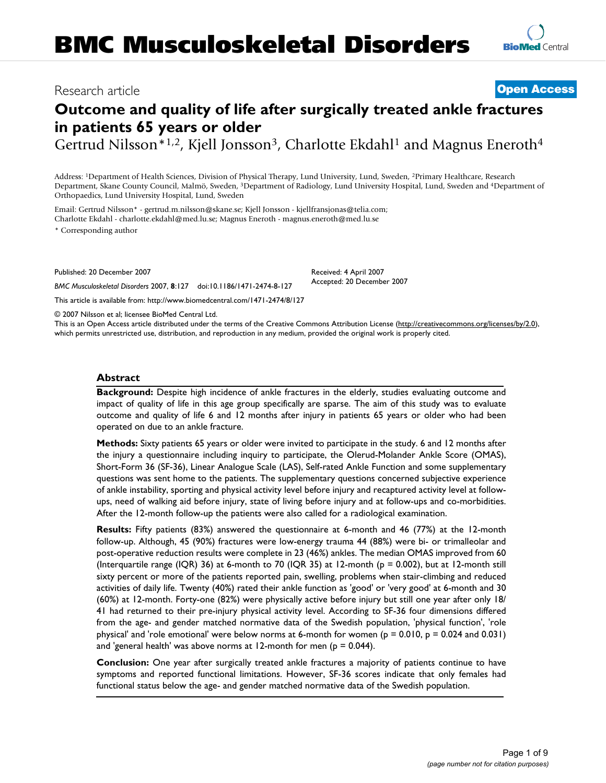# **Outcome and quality of life after surgically treated ankle fractures in patients 65 years or older**

Gertrud Nilsson<sup>\*1,2</sup>, Kjell Jonsson<sup>3</sup>, Charlotte Ekdahl<sup>1</sup> and Magnus Eneroth<sup>4</sup>

Address: 1Department of Health Sciences, Division of Physical Therapy, Lund University, Lund, Sweden, 2Primary Healthcare, Research Department, Skane County Council, Malmö, Sweden, 3Department of Radiology, Lund University Hospital, Lund, Sweden and 4Department of Orthopaedics, Lund University Hospital, Lund, Sweden

Email: Gertrud Nilsson\* - gertrud.m.nilsson@skane.se; Kjell Jonsson - kjellfransjonas@telia.com; Charlotte Ekdahl - charlotte.ekdahl@med.lu.se; Magnus Eneroth - magnus.eneroth@med.lu.se

\* Corresponding author

Published: 20 December 2007

*BMC Musculoskeletal Disorders* 2007, **8**:127 doi:10.1186/1471-2474-8-127 [This article is available from: http://www.biomedcentral.com/1471-2474/8/127](http://www.biomedcentral.com/1471-2474/8/127) Received: 4 April 2007 Accepted: 20 December 2007

© 2007 Nilsson et al; licensee BioMed Central Ltd.

This is an Open Access article distributed under the terms of the Creative Commons Attribution License [\(http://creativecommons.org/licenses/by/2.0\)](http://creativecommons.org/licenses/by/2.0), which permits unrestricted use, distribution, and reproduction in any medium, provided the original work is properly cited.

#### **Abstract**

**Background:** Despite high incidence of ankle fractures in the elderly, studies evaluating outcome and impact of quality of life in this age group specifically are sparse. The aim of this study was to evaluate outcome and quality of life 6 and 12 months after injury in patients 65 years or older who had been operated on due to an ankle fracture.

**Methods:** Sixty patients 65 years or older were invited to participate in the study. 6 and 12 months after the injury a questionnaire including inquiry to participate, the Olerud-Molander Ankle Score (OMAS), Short-Form 36 (SF-36), Linear Analogue Scale (LAS), Self-rated Ankle Function and some supplementary questions was sent home to the patients. The supplementary questions concerned subjective experience of ankle instability, sporting and physical activity level before injury and recaptured activity level at followups, need of walking aid before injury, state of living before injury and at follow-ups and co-morbidities. After the 12-month follow-up the patients were also called for a radiological examination.

**Results:** Fifty patients (83%) answered the questionnaire at 6-month and 46 (77%) at the 12-month follow-up. Although, 45 (90%) fractures were low-energy trauma 44 (88%) were bi- or trimalleolar and post-operative reduction results were complete in 23 (46%) ankles. The median OMAS improved from 60 (Interquartile range (IQR) 36) at 6-month to 70 (IQR 35) at 12-month ( $p = 0.002$ ), but at 12-month still sixty percent or more of the patients reported pain, swelling, problems when stair-climbing and reduced activities of daily life. Twenty (40%) rated their ankle function as 'good' or 'very good' at 6-month and 30 (60%) at 12-month. Forty-one (82%) were physically active before injury but still one year after only 18/ 41 had returned to their pre-injury physical activity level. According to SF-36 four dimensions differed from the age- and gender matched normative data of the Swedish population, 'physical function', 'role physical' and 'role emotional' were below norms at 6-month for women ( $p = 0.010$ ,  $p = 0.024$  and 0.031) and 'general health' was above norms at 12-month for men ( $p = 0.044$ ).

**Conclusion:** One year after surgically treated ankle fractures a majority of patients continue to have symptoms and reported functional limitations. However, SF-36 scores indicate that only females had functional status below the age- and gender matched normative data of the Swedish population.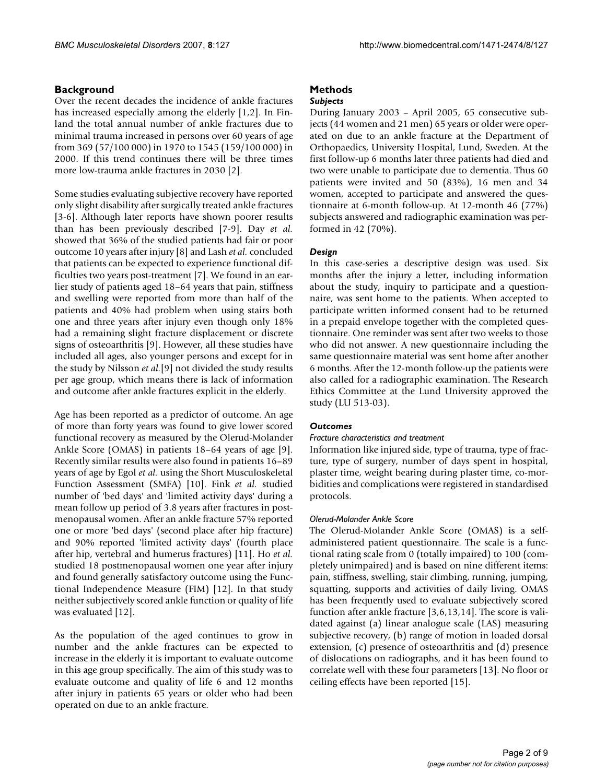## **Background**

Over the recent decades the incidence of ankle fractures has increased especially among the elderly [1,2]. In Finland the total annual number of ankle fractures due to minimal trauma increased in persons over 60 years of age from 369 (57/100 000) in 1970 to 1545 (159/100 000) in 2000. If this trend continues there will be three times more low-trauma ankle fractures in 2030 [2].

Some studies evaluating subjective recovery have reported only slight disability after surgically treated ankle fractures [3-6]. Although later reports have shown poorer results than has been previously described [7-9]. Day *et al.* showed that 36% of the studied patients had fair or poor outcome 10 years after injury [8] and Lash *et al.* concluded that patients can be expected to experience functional difficulties two years post-treatment [7]. We found in an earlier study of patients aged 18–64 years that pain, stiffness and swelling were reported from more than half of the patients and 40% had problem when using stairs both one and three years after injury even though only 18% had a remaining slight fracture displacement or discrete signs of osteoarthritis [9]. However, all these studies have included all ages, also younger persons and except for in the study by Nilsson *et al.*[9] not divided the study results per age group, which means there is lack of information and outcome after ankle fractures explicit in the elderly.

Age has been reported as a predictor of outcome. An age of more than forty years was found to give lower scored functional recovery as measured by the Olerud-Molander Ankle Score (OMAS) in patients 18–64 years of age [9]. Recently similar results were also found in patients 16–89 years of age by Egol *et al.* using the Short Musculoskeletal Function Assessment (SMFA) [10]. Fink *et al.* studied number of 'bed days' and 'limited activity days' during a mean follow up period of 3.8 years after fractures in postmenopausal women. After an ankle fracture 57% reported one or more 'bed days' (second place after hip fracture) and 90% reported 'limited activity days' (fourth place after hip, vertebral and humerus fractures) [11]. Ho *et al.* studied 18 postmenopausal women one year after injury and found generally satisfactory outcome using the Functional Independence Measure (FIM) [12]. In that study neither subjectively scored ankle function or quality of life was evaluated [12].

As the population of the aged continues to grow in number and the ankle fractures can be expected to increase in the elderly it is important to evaluate outcome in this age group specifically. The aim of this study was to evaluate outcome and quality of life 6 and 12 months after injury in patients 65 years or older who had been operated on due to an ankle fracture.

## **Methods**

## *Subjects*

During January 2003 – April 2005, 65 consecutive subjects (44 women and 21 men) 65 years or older were operated on due to an ankle fracture at the Department of Orthopaedics, University Hospital, Lund, Sweden. At the first follow-up 6 months later three patients had died and two were unable to participate due to dementia. Thus 60 patients were invited and 50 (83%), 16 men and 34 women, accepted to participate and answered the questionnaire at 6-month follow-up. At 12-month 46 (77%) subjects answered and radiographic examination was performed in 42 (70%).

## *Design*

In this case-series a descriptive design was used. Six months after the injury a letter, including information about the study, inquiry to participate and a questionnaire, was sent home to the patients. When accepted to participate written informed consent had to be returned in a prepaid envelope together with the completed questionnaire. One reminder was sent after two weeks to those who did not answer. A new questionnaire including the same questionnaire material was sent home after another 6 months. After the 12-month follow-up the patients were also called for a radiographic examination. The Research Ethics Committee at the Lund University approved the study (LU 513-03).

## *Outcomes*

## *Fracture characteristics and treatment*

Information like injured side, type of trauma, type of fracture, type of surgery, number of days spent in hospital, plaster time, weight bearing during plaster time, co-morbidities and complications were registered in standardised protocols.

## *Olerud-Molander Ankle Score*

The Olerud-Molander Ankle Score (OMAS) is a selfadministered patient questionnaire. The scale is a functional rating scale from 0 (totally impaired) to 100 (completely unimpaired) and is based on nine different items: pain, stiffness, swelling, stair climbing, running, jumping, squatting, supports and activities of daily living. OMAS has been frequently used to evaluate subjectively scored function after ankle fracture [3,6,13,14]. The score is validated against (a) linear analogue scale (LAS) measuring subjective recovery, (b) range of motion in loaded dorsal extension, (c) presence of osteoarthritis and (d) presence of dislocations on radiographs, and it has been found to correlate well with these four parameters [13]. No floor or ceiling effects have been reported [15].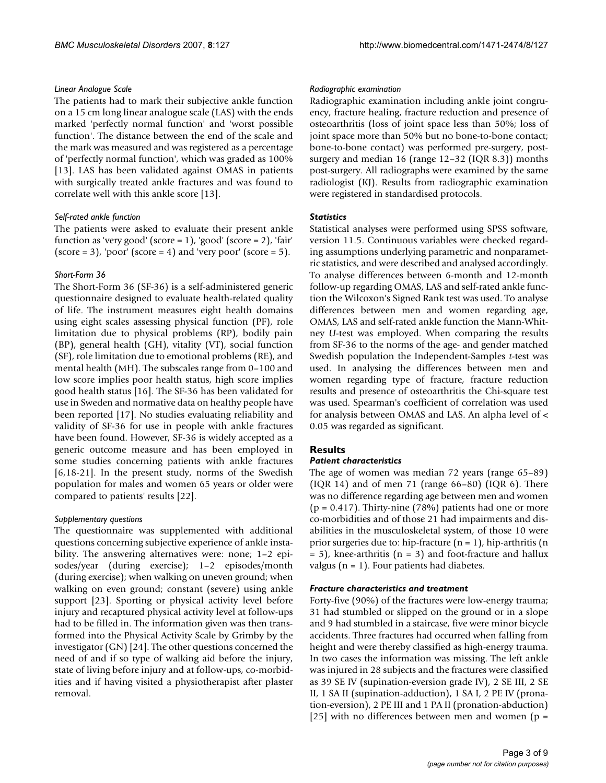#### *Linear Analogue Scale*

The patients had to mark their subjective ankle function on a 15 cm long linear analogue scale (LAS) with the ends marked 'perfectly normal function' and 'worst possible function'. The distance between the end of the scale and the mark was measured and was registered as a percentage of 'perfectly normal function', which was graded as 100% [13]. LAS has been validated against OMAS in patients with surgically treated ankle fractures and was found to correlate well with this ankle score [13].

#### *Self-rated ankle function*

The patients were asked to evaluate their present ankle function as 'very good' (score =  $1$ ), 'good' (score =  $2$ ), 'fair'  $(\text{score} = 3)$ , 'poor'  $(\text{score} = 4)$  and 'very poor'  $(\text{score} = 5)$ .

#### *Short-Form 36*

The Short-Form 36 (SF-36) is a self-administered generic questionnaire designed to evaluate health-related quality of life. The instrument measures eight health domains using eight scales assessing physical function (PF), role limitation due to physical problems (RP), bodily pain (BP), general health (GH), vitality (VT), social function (SF), role limitation due to emotional problems (RE), and mental health (MH). The subscales range from 0–100 and low score implies poor health status, high score implies good health status [16]. The SF-36 has been validated for use in Sweden and normative data on healthy people have been reported [17]. No studies evaluating reliability and validity of SF-36 for use in people with ankle fractures have been found. However, SF-36 is widely accepted as a generic outcome measure and has been employed in some studies concerning patients with ankle fractures [6,18-21]. In the present study, norms of the Swedish population for males and women 65 years or older were compared to patients' results [22].

#### *Supplementary questions*

The questionnaire was supplemented with additional questions concerning subjective experience of ankle instability. The answering alternatives were: none; 1–2 episodes/year (during exercise); 1–2 episodes/month (during exercise); when walking on uneven ground; when walking on even ground; constant (severe) using ankle support [23]. Sporting or physical activity level before injury and recaptured physical activity level at follow-ups had to be filled in. The information given was then transformed into the Physical Activity Scale by Grimby by the investigator (GN) [24]. The other questions concerned the need of and if so type of walking aid before the injury, state of living before injury and at follow-ups, co-morbidities and if having visited a physiotherapist after plaster removal.

#### *Radiographic examination*

Radiographic examination including ankle joint congruency, fracture healing, fracture reduction and presence of osteoarthritis (loss of joint space less than 50%; loss of joint space more than 50% but no bone-to-bone contact; bone-to-bone contact) was performed pre-surgery, postsurgery and median 16 (range 12–32 (IQR 8.3)) months post-surgery. All radiographs were examined by the same radiologist (KJ). Results from radiographic examination were registered in standardised protocols.

#### *Statistics*

Statistical analyses were performed using SPSS software, version 11.5. Continuous variables were checked regarding assumptions underlying parametric and nonparametric statistics, and were described and analysed accordingly. To analyse differences between 6-month and 12-month follow-up regarding OMAS, LAS and self-rated ankle function the Wilcoxon's Signed Rank test was used. To analyse differences between men and women regarding age, OMAS, LAS and self-rated ankle function the Mann-Whitney *U*-test was employed. When comparing the results from SF-36 to the norms of the age- and gender matched Swedish population the Independent-Samples *t*-test was used. In analysing the differences between men and women regarding type of fracture, fracture reduction results and presence of osteoarthritis the Chi-square test was used. Spearman's coefficient of correlation was used for analysis between OMAS and LAS. An alpha level of < 0.05 was regarded as significant.

## **Results**

#### *Patient characteristics*

The age of women was median 72 years (range 65–89) (IQR 14) and of men 71 (range 66–80) (IQR 6). There was no difference regarding age between men and women  $(p = 0.417)$ . Thirty-nine (78%) patients had one or more co-morbidities and of those 21 had impairments and disabilities in the musculoskeletal system, of those 10 were prior surgeries due to: hip-fracture  $(n = 1)$ , hip-arthritis  $(n = 1)$  $= 5$ ), knee-arthritis (n = 3) and foot-fracture and hallux valgus ( $n = 1$ ). Four patients had diabetes.

#### *Fracture characteristics and treatment*

Forty-five (90%) of the fractures were low-energy trauma; 31 had stumbled or slipped on the ground or in a slope and 9 had stumbled in a staircase, five were minor bicycle accidents. Three fractures had occurred when falling from height and were thereby classified as high-energy trauma. In two cases the information was missing. The left ankle was injured in 28 subjects and the fractures were classified as 39 SE IV (supination-eversion grade IV), 2 SE III, 2 SE II, 1 SA II (supination-adduction), 1 SA I, 2 PE IV (pronation-eversion), 2 PE III and 1 PA II (pronation-abduction) [25] with no differences between men and women ( $p =$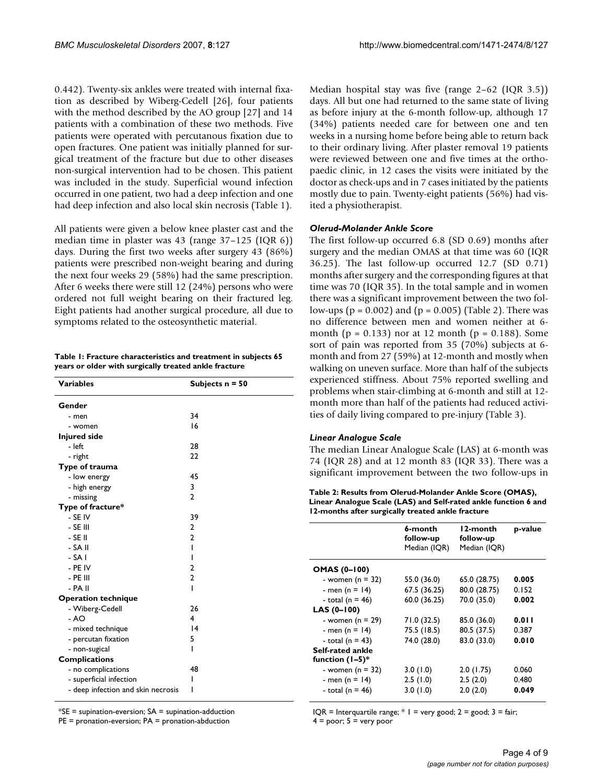0.442). Twenty-six ankles were treated with internal fixation as described by Wiberg-Cedell [26], four patients with the method described by the AO group [27] and 14 patients with a combination of these two methods. Five patients were operated with percutanous fixation due to open fractures. One patient was initially planned for surgical treatment of the fracture but due to other diseases non-surgical intervention had to be chosen. This patient was included in the study. Superficial wound infection occurred in one patient, two had a deep infection and one had deep infection and also local skin necrosis (Table 1).

All patients were given a below knee plaster cast and the median time in plaster was 43 (range 37–125 (IQR 6)) days. During the first two weeks after surgery 43 (86%) patients were prescribed non-weight bearing and during the next four weeks 29 (58%) had the same prescription. After 6 weeks there were still 12 (24%) persons who were ordered not full weight bearing on their fractured leg. Eight patients had another surgical procedure, all due to symptoms related to the osteosynthetic material.

| Table I: Fracture characteristics and treatment in subjects 65 |
|----------------------------------------------------------------|
| years or older with surgically treated ankle fracture          |

| <b>Variables</b>                   | Subjects $n = 50$ |
|------------------------------------|-------------------|
| Gender                             |                   |
| - men                              | 34                |
| - women                            | 16                |
| <b>Injured side</b>                |                   |
| - left                             | 28                |
| - right                            | 22                |
| Type of trauma                     |                   |
| - low energy                       | 45                |
| - high energy                      | 3                 |
| - missing                          | $\mathbf{2}$      |
| Type of fracture*                  |                   |
| - SE IV                            | 39                |
| - SE III                           | 2                 |
| - SE II                            | $\overline{2}$    |
| - SA II                            | ı                 |
| - SA I                             | ı                 |
| - PE IV                            | 2                 |
| - PE III                           | $\overline{2}$    |
| - PA II                            | ı                 |
| <b>Operation technique</b>         |                   |
| - Wiberg-Cedell                    | 26                |
| - AO                               | 4                 |
| - mixed technique                  | 4                 |
| - percutan fixation                | 5                 |
| - non-sugical                      | ı                 |
| <b>Complications</b>               |                   |
| - no complications                 | 48                |
| - superficial infection            | ı                 |
| - deep infection and skin necrosis |                   |

 $*SE$  = supination-eversion;  $SA$  = supination-adduction

PE = pronation-eversion; PA = pronation-abduction

Median hospital stay was five (range 2–62 (IQR 3.5)) days. All but one had returned to the same state of living as before injury at the 6-month follow-up, although 17 (34%) patients needed care for between one and ten weeks in a nursing home before being able to return back to their ordinary living. After plaster removal 19 patients were reviewed between one and five times at the orthopaedic clinic, in 12 cases the visits were initiated by the doctor as check-ups and in 7 cases initiated by the patients mostly due to pain. Twenty-eight patients (56%) had visited a physiotherapist.

## *Olerud-Molander Ankle Score*

The first follow-up occurred 6.8 (SD 0.69) months after surgery and the median OMAS at that time was 60 (IQR 36.25). The last follow-up occurred 12.7 (SD 0.71) months after surgery and the corresponding figures at that time was 70 (IQR 35). In the total sample and in women there was a significant improvement between the two follow-ups ( $p = 0.002$ ) and ( $p = 0.005$ ) (Table 2). There was no difference between men and women neither at 6 month ( $p = 0.133$ ) nor at 12 month ( $p = 0.188$ ). Some sort of pain was reported from 35 (70%) subjects at 6 month and from 27 (59%) at 12-month and mostly when walking on uneven surface. More than half of the subjects experienced stiffness. About 75% reported swelling and problems when stair-climbing at 6-month and still at 12 month more than half of the patients had reduced activities of daily living compared to pre-injury (Table 3).

## *Linear Analogue Scale*

The median Linear Analogue Scale (LAS) at 6-month was 74 (IQR 28) and at 12 month 83 (IQR 33). There was a significant improvement between the two follow-ups in

**Table 2: Results from Olerud-Molander Ankle Score (OMAS), Linear Analogue Scale (LAS) and Self-rated ankle function 6 and 12-months after surgically treated ankle fracture**

|                                       | 6-month<br>follow-up<br>Median (IQR) | l 2-month<br>follow-up<br>Median (IQR) | p-value |
|---------------------------------------|--------------------------------------|----------------------------------------|---------|
| <b>OMAS (0-100)</b>                   |                                      |                                        |         |
| - women ( $n = 32$ )                  | 55.0 (36.0)                          | 65.0 (28.75)                           | 0.005   |
| - men (n = 14)                        | 67.5 (36.25)                         | 80.0 (28.75)                           | 0.152   |
| - total ( $n = 46$ )                  | 60.0 (36.25)                         | 70.0 (35.0)                            | 0.002   |
| LAS (0-100)                           |                                      |                                        |         |
| - women ( $n = 29$ )                  | 71.0 (32.5)                          | 85.0 (36.0)                            | 0.011   |
| - men (n = 14)                        | 75.5 (18.5)                          | 80.5 (37.5)                            | 0.387   |
| - total $(n = 43)$                    | 74.0 (28.0)                          | 83.0 (33.0)                            | 0.010   |
| Self-rated ankle<br>function $(1-5)*$ |                                      |                                        |         |
| - women ( $n = 32$ )                  | 3.0(1.0)                             | 2.0(1.75)                              | 0.060   |
| - men (n = 14)                        | 2.5(1.0)                             | 2.5(2.0)                               | 0.480   |
| - total (n = 46)                      | 3.0(1.0)                             | 2.0(2.0)                               | 0.049   |

IQR = Interquartile range;  $*$  I = very good; 2 = good; 3 = fair;  $4 = poor$ ;  $5 = very poor$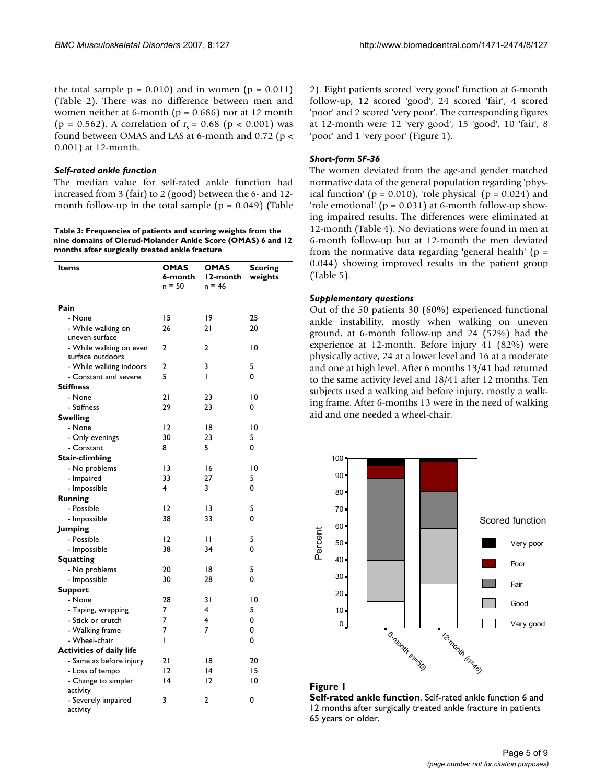the total sample  $p = 0.010$  and in women ( $p = 0.011$ ) (Table 2). There was no difference between men and women neither at 6-month ( $p = 0.686$ ) nor at 12 month (p = 0.562). A correlation of  $r_s = 0.68$  (p < 0.001) was found between OMAS and LAS at 6-month and 0.72 (p < 0.001) at 12-month.

#### *Self-rated ankle function*

The median value for self-rated ankle function had increased from 3 (fair) to 2 (good) between the 6- and 12 month follow-up in the total sample  $(p = 0.049)$  (Table

**Table 3: Frequencies of patients and scoring weights from the nine domains of Olerud-Molander Ankle Score (OMAS) 6 and 12 months after surgically treated ankle fracture**

| Items                           | <b>OMAS</b><br>6-month<br>n = 50 | OMAS<br>l 2-month<br>$n = 46$ | <b>Scoring</b><br>weights |
|---------------------------------|----------------------------------|-------------------------------|---------------------------|
| Pain                            |                                  |                               |                           |
| - None                          | 15                               | 19                            | 25                        |
| - While walking on              | 26                               | 21                            | 20                        |
| uneven surface                  |                                  |                               |                           |
| - While walking on even         | 2                                | 2                             | 10                        |
| surface outdoors                |                                  |                               |                           |
| - While walking indoors         | 2                                | 3                             | 5                         |
| - Constant and severe           | 5                                | I                             | 0                         |
| <b>Stiffness</b>                |                                  |                               |                           |
| - None                          | 21                               | 23                            | 10                        |
| - Stiffness                     | 29                               | 23                            | 0                         |
| Swelling                        |                                  |                               |                           |
| - None                          | $\overline{2}$                   | 18                            | 10                        |
| - Only evenings                 | 30                               | 23                            | 5                         |
| - Constant                      | 8                                | 5                             | 0                         |
| <b>Stair-climbing</b>           |                                  |                               |                           |
| - No problems                   | 13                               | 16                            | $\overline{0}$            |
| - Impaired                      | 33                               | 27                            | 5                         |
| - Impossible                    | 4                                | 3                             | 0                         |
| <b>Running</b>                  |                                  |                               |                           |
| - Possible                      | 12                               | 13                            | 5                         |
| - Impossible                    | 38                               | 33                            | 0                         |
| <b>Jumping</b>                  |                                  |                               |                           |
| - Possible                      | 2                                | П                             | 5                         |
| - Impossible                    | 38                               | 34                            | 0                         |
| <b>Squatting</b>                |                                  |                               |                           |
| - No problems                   | 20                               | 18                            | 5                         |
| - Impossible                    | 30                               | 28                            | 0                         |
| <b>Support</b>                  |                                  |                               |                           |
| - None                          | 28                               | 31                            | $\overline{0}$            |
| - Taping, wrapping              | 7                                | 4                             | 5                         |
| - Stick or crutch               | 7                                | 4                             | 0                         |
| - Walking frame                 | 7                                | 7                             | 0                         |
| - Wheel-chair                   | ı                                |                               | 0                         |
| <b>Activities of daily life</b> |                                  |                               |                           |
| - Same as before injury         | 21                               | 18                            | 20                        |
| - Loss of tempo                 | $\overline{2}$                   | $\overline{14}$               | 15                        |
| - Change to simpler             | $\overline{14}$                  | 12                            | 10                        |
| activity                        |                                  |                               |                           |
| - Severely impaired             | 3                                | 2                             | 0                         |
| activity                        |                                  |                               |                           |

2). Eight patients scored 'very good' function at 6-month follow-up, 12 scored 'good', 24 scored 'fair', 4 scored 'poor' and 2 scored 'very poor'. The corresponding figures at 12-month were 12 'very good', 15 'good', 10 'fair', 8 'poor' and 1 'very poor' (Figure 1).

#### *Short-form SF-36*

The women deviated from the age-and gender matched normative data of the general population regarding 'physical function' ( $p = 0.010$ ), 'role physical' ( $p = 0.024$ ) and 'role emotional'  $(p = 0.031)$  at 6-month follow-up showing impaired results. The differences were eliminated at 12-month (Table 4). No deviations were found in men at 6-month follow-up but at 12-month the men deviated from the normative data regarding 'general health' ( $p =$ 0.044) showing improved results in the patient group (Table 5).

#### *Supplementary questions*

Out of the 50 patients 30 (60%) experienced functional ankle instability, mostly when walking on uneven ground, at 6-month follow-up and 24 (52%) had the experience at 12-month. Before injury 41 (82%) were physically active, 24 at a lower level and 16 at a moderate and one at high level. After 6 months 13/41 had returned to the same activity level and 18/41 after 12 months. Ten subjects used a walking aid before injury, mostly a walking frame. After 6-months 13 were in the need of walking aid and one needed a wheel-chair.



#### **Figure 1**

**Self-rated ankle function**. Self-rated ankle function 6 and 12 months after surgically treated ankle fracture in patients 65 years or older.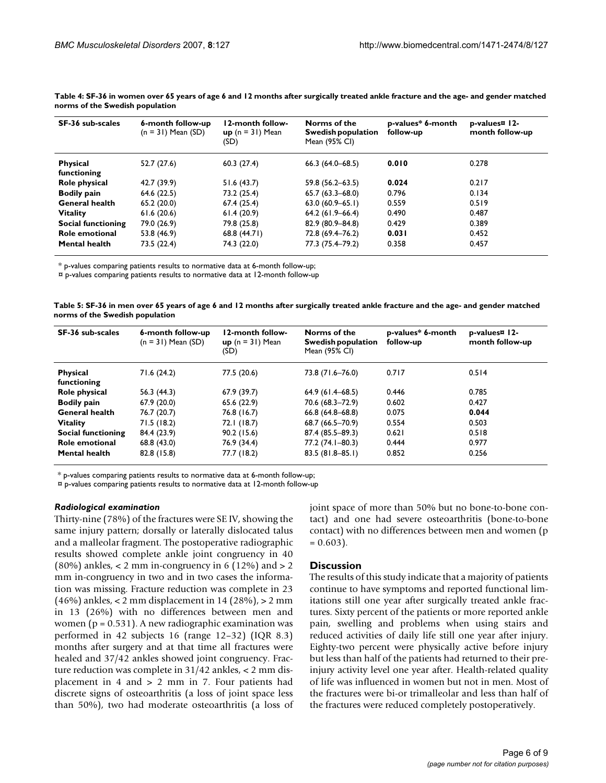| SF-36 sub-scales               | 6-month follow-up<br>$(n = 31)$ Mean $(SD)$ | 12-month follow-<br>$up(n = 31)$ Mean<br>(SD) | Norms of the<br>Swedish population<br>Mean (95% CI) | p-values* 6-month<br>follow-up | p-values <sup>¤</sup> 12-<br>month follow-up |
|--------------------------------|---------------------------------------------|-----------------------------------------------|-----------------------------------------------------|--------------------------------|----------------------------------------------|
| <b>Physical</b><br>functioning | 52.7(27.6)                                  | 60.3(27.4)                                    | $66.3(64.0 - 68.5)$                                 | 0.010                          | 0.278                                        |
| Role physical                  | 42.7 (39.9)                                 | 51.6(43.7)                                    | $59.8(56.2 - 63.5)$                                 | 0.024                          | 0.217                                        |
| <b>Bodily pain</b>             | 64.6 (22.5)                                 | 73.2 (25.4)                                   | $65.7(63.3 - 68.0)$                                 | 0.796                          | 0.134                                        |
| <b>General health</b>          | 65.2 (20.0)                                 | 67.4(25.4)                                    | $63.0 (60.9 - 65.1)$                                | 0.559                          | 0.519                                        |
| <b>Vitality</b>                | 61.6(20.6)                                  | 61.4(20.9)                                    | $64.2(61.9 - 66.4)$                                 | 0.490                          | 0.487                                        |
| Social functioning             | 79.0 (26.9)                                 | 79.8 (25.8)                                   | 82.9 (80.9-84.8)                                    | 0.429                          | 0.389                                        |
| Role emotional                 | 53.8 (46.9)                                 | 68.8 (44.71)                                  | 72.8 (69.4–76.2)                                    | 0.031                          | 0.452                                        |
| <b>Mental health</b>           | 73.5 (22.4)                                 | 74.3 (22.0)                                   | 77.3 (75.4–79.2)                                    | 0.358                          | 0.457                                        |

**Table 4: SF-36 in women over 65 years of age 6 and 12 months after surgically treated ankle fracture and the age- and gender matched norms of the Swedish population**

\* p-values comparing patients results to normative data at 6-month follow-up;

¤ p-values comparing patients results to normative data at 12-month follow-up

**Table 5: SF-36 in men over 65 years of age 6 and 12 months after surgically treated ankle fracture and the age- and gender matched norms of the Swedish population**

| SF-36 sub-scales               | 6-month follow-up<br>$(n = 31)$ Mean $(SD)$ | 12-month follow-<br>$up(n = 31)$ Mean<br>(SD) | Norms of the<br>Swedish population<br>Mean (95% CI) | p-values* 6-month<br>follow-up | p-values¤ 12-<br>month follow-up |
|--------------------------------|---------------------------------------------|-----------------------------------------------|-----------------------------------------------------|--------------------------------|----------------------------------|
| <b>Physical</b><br>functioning | 71.6 (24.2)                                 | 77.5 (20.6)                                   | 73.8 (71.6–76.0)                                    | 0.717                          | 0.514                            |
| Role physical                  | 56.3 (44.3)                                 | 67.9(39.7)                                    | $64.9(61.4 - 68.5)$                                 | 0.446                          | 0.785                            |
| <b>Bodily pain</b>             | 67.9(20.0)                                  | 65.6 (22.9)                                   | 70.6 (68.3-72.9)                                    | 0.602                          | 0.427                            |
| <b>General health</b>          | 76.7 (20.7)                                 | 76.8 (16.7)                                   | $66.8(64.8 - 68.8)$                                 | 0.075                          | 0.044                            |
| <b>Vitality</b>                | 71.5(18.2)                                  | 72.1 (18.7)                                   | 68.7 (66.5-70.9)                                    | 0.554                          | 0.503                            |
| Social functioning             | 84.4 (23.9)                                 | 90.2 (15.6)                                   | 87.4 (85.5–89.3)                                    | 0.621                          | 0.518                            |
| Role emotional                 | 68.8 (43.0)                                 | 76.9 (34.4)                                   | 77.2 (74.1–80.3)                                    | 0.444                          | 0.977                            |
| <b>Mental health</b>           | 82.8 (15.8)                                 | 77.7 (18.2)                                   | $83.5(81.8 - 85.1)$                                 | 0.852                          | 0.256                            |

\* p-values comparing patients results to normative data at 6-month follow-up;

¤ p-values comparing patients results to normative data at 12-month follow-up

#### *Radiological examination*

Thirty-nine (78%) of the fractures were SE IV, showing the same injury pattern; dorsally or laterally dislocated talus and a malleolar fragment. The postoperative radiographic results showed complete ankle joint congruency in 40  $(80\%)$  ankles, < 2 mm in-congruency in 6  $(12\%)$  and > 2 mm in-congruency in two and in two cases the information was missing. Fracture reduction was complete in 23 (46%) ankles, < 2 mm displacement in 14 (28%), > 2 mm in 13 (26%) with no differences between men and women ( $p = 0.531$ ). A new radiographic examination was performed in 42 subjects 16 (range 12–32) (IQR 8.3) months after surgery and at that time all fractures were healed and 37/42 ankles showed joint congruency. Fracture reduction was complete in 31/42 ankles, < 2 mm displacement in 4 and > 2 mm in 7. Four patients had discrete signs of osteoarthritis (a loss of joint space less than 50%), two had moderate osteoarthritis (a loss of joint space of more than 50% but no bone-to-bone contact) and one had severe osteoarthritis (bone-to-bone contact) with no differences between men and women (p  $= 0.603$ ).

#### **Discussion**

The results of this study indicate that a majority of patients continue to have symptoms and reported functional limitations still one year after surgically treated ankle fractures. Sixty percent of the patients or more reported ankle pain, swelling and problems when using stairs and reduced activities of daily life still one year after injury. Eighty-two percent were physically active before injury but less than half of the patients had returned to their preinjury activity level one year after. Health-related quality of life was influenced in women but not in men. Most of the fractures were bi-or trimalleolar and less than half of the fractures were reduced completely postoperatively.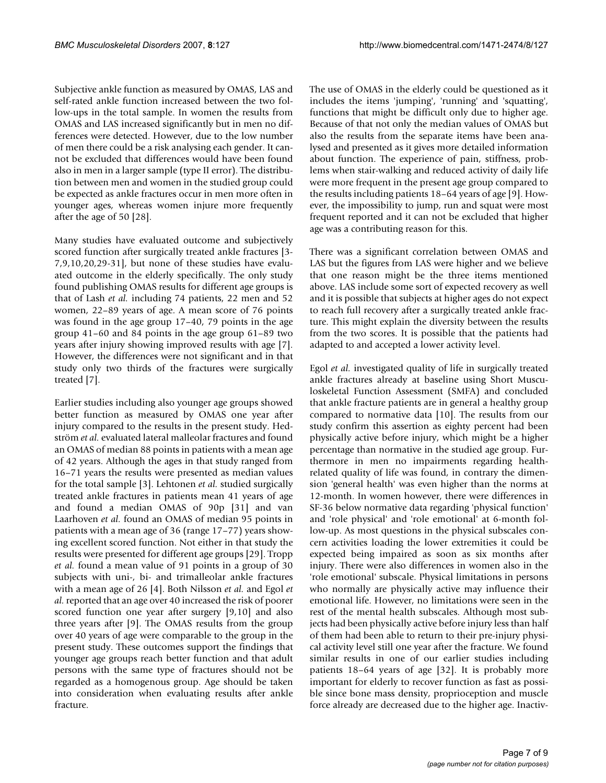Subjective ankle function as measured by OMAS, LAS and self-rated ankle function increased between the two follow-ups in the total sample. In women the results from OMAS and LAS increased significantly but in men no differences were detected. However, due to the low number of men there could be a risk analysing each gender. It cannot be excluded that differences would have been found also in men in a larger sample (type II error). The distribution between men and women in the studied group could be expected as ankle fractures occur in men more often in younger ages, whereas women injure more frequently after the age of 50 [28].

Many studies have evaluated outcome and subjectively scored function after surgically treated ankle fractures [3- 7,9,10,20,29-31], but none of these studies have evaluated outcome in the elderly specifically. The only study found publishing OMAS results for different age groups is that of Lash *et al.* including 74 patients, 22 men and 52 women, 22–89 years of age. A mean score of 76 points was found in the age group 17–40, 79 points in the age group 41–60 and 84 points in the age group 61–89 two years after injury showing improved results with age [7]. However, the differences were not significant and in that study only two thirds of the fractures were surgically treated [7].

Earlier studies including also younger age groups showed better function as measured by OMAS one year after injury compared to the results in the present study. Hedström *et al.* evaluated lateral malleolar fractures and found an OMAS of median 88 points in patients with a mean age of 42 years. Although the ages in that study ranged from 16–71 years the results were presented as median values for the total sample [3]. Lehtonen *et al.* studied surgically treated ankle fractures in patients mean 41 years of age and found a median OMAS of 90p [31] and van Laarhoven *et al.* found an OMAS of median 95 points in patients with a mean age of 36 (range 17–77) years showing excellent scored function. Not either in that study the results were presented for different age groups [29]. Tropp *et al.* found a mean value of 91 points in a group of 30 subjects with uni-, bi- and trimalleolar ankle fractures with a mean age of 26 [4]. Both Nilsson *et al.* and Egol *et al.* reported that an age over 40 increased the risk of poorer scored function one year after surgery [9,10] and also three years after [9]. The OMAS results from the group over 40 years of age were comparable to the group in the present study. These outcomes support the findings that younger age groups reach better function and that adult persons with the same type of fractures should not be regarded as a homogenous group. Age should be taken into consideration when evaluating results after ankle fracture.

The use of OMAS in the elderly could be questioned as it includes the items 'jumping', 'running' and 'squatting', functions that might be difficult only due to higher age. Because of that not only the median values of OMAS but also the results from the separate items have been analysed and presented as it gives more detailed information about function. The experience of pain, stiffness, problems when stair-walking and reduced activity of daily life were more frequent in the present age group compared to the results including patients 18–64 years of age [9]. However, the impossibility to jump, run and squat were most frequent reported and it can not be excluded that higher age was a contributing reason for this.

There was a significant correlation between OMAS and LAS but the figures from LAS were higher and we believe that one reason might be the three items mentioned above. LAS include some sort of expected recovery as well and it is possible that subjects at higher ages do not expect to reach full recovery after a surgically treated ankle fracture. This might explain the diversity between the results from the two scores. It is possible that the patients had adapted to and accepted a lower activity level.

Egol *et al.* investigated quality of life in surgically treated ankle fractures already at baseline using Short Musculoskeletal Function Assessment (SMFA) and concluded that ankle fracture patients are in general a healthy group compared to normative data [10]. The results from our study confirm this assertion as eighty percent had been physically active before injury, which might be a higher percentage than normative in the studied age group. Furthermore in men no impairments regarding healthrelated quality of life was found, in contrary the dimension 'general health' was even higher than the norms at 12-month. In women however, there were differences in SF-36 below normative data regarding 'physical function' and 'role physical' and 'role emotional' at 6-month follow-up. As most questions in the physical subscales concern activities loading the lower extremities it could be expected being impaired as soon as six months after injury. There were also differences in women also in the 'role emotional' subscale. Physical limitations in persons who normally are physically active may influence their emotional life. However, no limitations were seen in the rest of the mental health subscales. Although most subjects had been physically active before injury less than half of them had been able to return to their pre-injury physical activity level still one year after the fracture. We found similar results in one of our earlier studies including patients 18–64 years of age [32]. It is probably more important for elderly to recover function as fast as possible since bone mass density, proprioception and muscle force already are decreased due to the higher age. Inactiv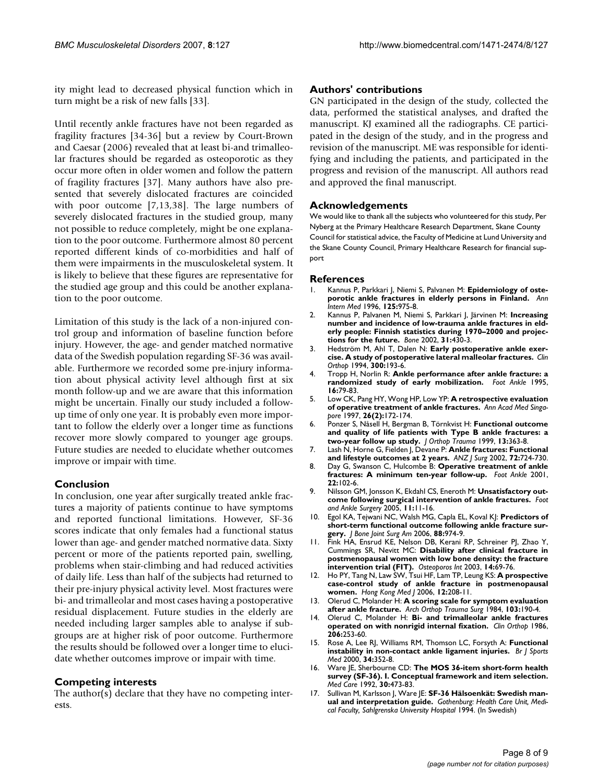ity might lead to decreased physical function which in turn might be a risk of new falls [33].

Until recently ankle fractures have not been regarded as fragility fractures [34-36] but a review by Court-Brown and Caesar (2006) revealed that at least bi-and trimalleolar fractures should be regarded as osteoporotic as they occur more often in older women and follow the pattern of fragility fractures [37]. Many authors have also presented that severely dislocated fractures are coincided with poor outcome [7,13,38]. The large numbers of severely dislocated fractures in the studied group, many not possible to reduce completely, might be one explanation to the poor outcome. Furthermore almost 80 percent reported different kinds of co-morbidities and half of them were impairments in the musculoskeletal system. It is likely to believe that these figures are representative for the studied age group and this could be another explanation to the poor outcome.

Limitation of this study is the lack of a non-injured control group and information of baseline function before injury. However, the age- and gender matched normative data of the Swedish population regarding SF-36 was available. Furthermore we recorded some pre-injury information about physical activity level although first at six month follow-up and we are aware that this information might be uncertain. Finally our study included a followup time of only one year. It is probably even more important to follow the elderly over a longer time as functions recover more slowly compared to younger age groups. Future studies are needed to elucidate whether outcomes improve or impair with time.

## **Conclusion**

In conclusion, one year after surgically treated ankle fractures a majority of patients continue to have symptoms and reported functional limitations. However, SF-36 scores indicate that only females had a functional status lower than age- and gender matched normative data. Sixty percent or more of the patients reported pain, swelling, problems when stair-climbing and had reduced activities of daily life. Less than half of the subjects had returned to their pre-injury physical activity level. Most fractures were bi- and trimalleolar and most cases having a postoperative residual displacement. Future studies in the elderly are needed including larger samples able to analyse if subgroups are at higher risk of poor outcome. Furthermore the results should be followed over a longer time to elucidate whether outcomes improve or impair with time.

## **Competing interests**

The author(s) declare that they have no competing interests.

#### **Authors' contributions**

GN participated in the design of the study, collected the data, performed the statistical analyses, and drafted the manuscript. KJ examined all the radiographs. CE participated in the design of the study, and in the progress and revision of the manuscript. ME was responsible for identifying and including the patients, and participated in the progress and revision of the manuscript. All authors read and approved the final manuscript.

#### **Acknowledgements**

We would like to thank all the subjects who volunteered for this study, Per Nyberg at the Primary Healthcare Research Department, Skane County Council for statistical advice, the Faculty of Medicine at Lund University and the Skane County Council, Primary Healthcare Research for financial support

#### **References**

- 1. Kannus P, Parkkari J, Niemi S, Palvanen M: **[Epidemiology of oste](http://www.ncbi.nlm.nih.gov/entrez/query.fcgi?cmd=Retrieve&db=PubMed&dopt=Abstract&list_uids=8967708)[porotic ankle fractures in elderly persons in Finland.](http://www.ncbi.nlm.nih.gov/entrez/query.fcgi?cmd=Retrieve&db=PubMed&dopt=Abstract&list_uids=8967708)** *Ann Intern Med* 1996, **125:**975-8.
- 2. Kannus P, Palvanen M, Niemi S, Parkkari J, Järvinen M: **[Increasing](http://www.ncbi.nlm.nih.gov/entrez/query.fcgi?cmd=Retrieve&db=PubMed&dopt=Abstract&list_uids=12231418) [number and incidence of low-trauma ankle fractures in eld](http://www.ncbi.nlm.nih.gov/entrez/query.fcgi?cmd=Retrieve&db=PubMed&dopt=Abstract&list_uids=12231418)erly people: Finnish statistics during 1970–2000 and projec[tions for the future.](http://www.ncbi.nlm.nih.gov/entrez/query.fcgi?cmd=Retrieve&db=PubMed&dopt=Abstract&list_uids=12231418)** *Bone* 2002, **31:**430-3.
- 3. Hedström M, Ahl T, Dalen N: **[Early postoperative ankle exer](http://www.ncbi.nlm.nih.gov/entrez/query.fcgi?cmd=Retrieve&db=PubMed&dopt=Abstract&list_uids=8131334)[cise. A study of postoperative lateral malleolar fractures.](http://www.ncbi.nlm.nih.gov/entrez/query.fcgi?cmd=Retrieve&db=PubMed&dopt=Abstract&list_uids=8131334)** *Clin Orthop* 1994, **300:**193-6.
- 4. Tropp H, Norlin R: **[Ankle performance after ankle fracture: a](http://www.ncbi.nlm.nih.gov/entrez/query.fcgi?cmd=Retrieve&db=PubMed&dopt=Abstract&list_uids=7767451) [randomized study of early mobilization.](http://www.ncbi.nlm.nih.gov/entrez/query.fcgi?cmd=Retrieve&db=PubMed&dopt=Abstract&list_uids=7767451)** *Foot Ankle* 1995, **16:**79-83.
- 5. Low CK, Pang HY, Wong HP, Low YP: **[A retrospective evaluation](http://www.ncbi.nlm.nih.gov/entrez/query.fcgi?cmd=Retrieve&db=PubMed&dopt=Abstract&list_uids=9208068) [of operative treatment of ankle fractures.](http://www.ncbi.nlm.nih.gov/entrez/query.fcgi?cmd=Retrieve&db=PubMed&dopt=Abstract&list_uids=9208068)** *Ann Acad Med Singapore* 1997, **26(2):**172-174.
- 6. Ponzer S, Nåsell H, Bergman B, Törnkvist H: **[Functional outcome](http://www.ncbi.nlm.nih.gov/entrez/query.fcgi?cmd=Retrieve&db=PubMed&dopt=Abstract&list_uids=10406704) [and quality of life patients with Type B ankle fractures: a](http://www.ncbi.nlm.nih.gov/entrez/query.fcgi?cmd=Retrieve&db=PubMed&dopt=Abstract&list_uids=10406704) [two-year follow up study.](http://www.ncbi.nlm.nih.gov/entrez/query.fcgi?cmd=Retrieve&db=PubMed&dopt=Abstract&list_uids=10406704)** *J Orthop Trauma* 1999, **13:**363-8.
- 7. Lash N, Horne G, Fielden J, Devane P: **[Ankle fractures: Functional](http://www.ncbi.nlm.nih.gov/entrez/query.fcgi?cmd=Retrieve&db=PubMed&dopt=Abstract&list_uids=12534384) [and lifestyle outcomes at 2 years.](http://www.ncbi.nlm.nih.gov/entrez/query.fcgi?cmd=Retrieve&db=PubMed&dopt=Abstract&list_uids=12534384)** *ANZ J Surg* 2002, **72:**724-730.
- 8. Day G, Swanson C, Hulcombe B: **[Operative treatment of ankle](http://www.ncbi.nlm.nih.gov/entrez/query.fcgi?cmd=Retrieve&db=PubMed&dopt=Abstract&list_uids=11249218) [fractures: A minimum ten-year follow-up.](http://www.ncbi.nlm.nih.gov/entrez/query.fcgi?cmd=Retrieve&db=PubMed&dopt=Abstract&list_uids=11249218)** *Foot Ankle* 2001, **22:**102-6.
- 9. Nilsson GM, Jonsson K, Ekdahl CS, Eneroth M: **Unsatisfactory outcome following surgical intervention of ankle fractures.** *Foot and Ankle Surgery* 2005, **11:**11-16.
- 10. Egol KA, Tejwani NC, Walsh MG, Capla EL, Koval KJ: **[Predictors of](http://www.ncbi.nlm.nih.gov/entrez/query.fcgi?cmd=Retrieve&db=PubMed&dopt=Abstract&list_uids=16651571) [short-term functional outcome following ankle fracture sur](http://www.ncbi.nlm.nih.gov/entrez/query.fcgi?cmd=Retrieve&db=PubMed&dopt=Abstract&list_uids=16651571)[gery.](http://www.ncbi.nlm.nih.gov/entrez/query.fcgi?cmd=Retrieve&db=PubMed&dopt=Abstract&list_uids=16651571)** *J Bone Joint Surg Am* 2006, **88:**974-9.
- 11. Fink HA, Ensrud KE, Nelson DB, Kerani RP, Schreiner PJ, Zhao Y, Cummings SR, Nevitt MC: **[Disability after clinical fracture in](http://www.ncbi.nlm.nih.gov/entrez/query.fcgi?cmd=Retrieve&db=PubMed&dopt=Abstract&list_uids=12577187) [postmenopausal women with low bone density: the fracture](http://www.ncbi.nlm.nih.gov/entrez/query.fcgi?cmd=Retrieve&db=PubMed&dopt=Abstract&list_uids=12577187) [intervention trial \(FIT\).](http://www.ncbi.nlm.nih.gov/entrez/query.fcgi?cmd=Retrieve&db=PubMed&dopt=Abstract&list_uids=12577187)** *Osteoporos Int* 2003, **14:**69-76.
- 12. Ho PY, Tang N, Law SW, Tsui HF, Lam TP, Leung KS: **[A prospective](http://www.ncbi.nlm.nih.gov/entrez/query.fcgi?cmd=Retrieve&db=PubMed&dopt=Abstract&list_uids=16760549) [case-control study of ankle fracture in postmenopausal](http://www.ncbi.nlm.nih.gov/entrez/query.fcgi?cmd=Retrieve&db=PubMed&dopt=Abstract&list_uids=16760549) [women.](http://www.ncbi.nlm.nih.gov/entrez/query.fcgi?cmd=Retrieve&db=PubMed&dopt=Abstract&list_uids=16760549)** *Hong Kong Med J* 2006, **12:**208-11.
- 13. Olerud C, Molander H: **[A scoring scale for symptom evaluation](http://www.ncbi.nlm.nih.gov/entrez/query.fcgi?cmd=Retrieve&db=PubMed&dopt=Abstract&list_uids=6437370) [after ankle fracture.](http://www.ncbi.nlm.nih.gov/entrez/query.fcgi?cmd=Retrieve&db=PubMed&dopt=Abstract&list_uids=6437370)** *Arch Orthop Trauma Surg* 1984, **103:**190-4.
- 14. Olerud C, Molander H: **[Bi- and trimalleolar ankle fractures](http://www.ncbi.nlm.nih.gov/entrez/query.fcgi?cmd=Retrieve&db=PubMed&dopt=Abstract&list_uids=3086009) [operated on with nonrigid internal fixation.](http://www.ncbi.nlm.nih.gov/entrez/query.fcgi?cmd=Retrieve&db=PubMed&dopt=Abstract&list_uids=3086009)** *Clin Orthop* 1986, **206:**253-60.
- 15. Rose A, Lee RJ, Williams RM, Thomson LC, Forsyth A: **[Functional](http://www.ncbi.nlm.nih.gov/entrez/query.fcgi?cmd=Retrieve&db=PubMed&dopt=Abstract&list_uids=11049145) [instability in non-contact ankle ligament injuries.](http://www.ncbi.nlm.nih.gov/entrez/query.fcgi?cmd=Retrieve&db=PubMed&dopt=Abstract&list_uids=11049145)** *Br J Sports Med* 2000, **34:**352-8.
- 16. Ware JE, Sherbourne CD: **[The MOS 36-item short-form health](http://www.ncbi.nlm.nih.gov/entrez/query.fcgi?cmd=Retrieve&db=PubMed&dopt=Abstract&list_uids=1593914) [survey \(SF-36\). I. Conceptual framework and item selection.](http://www.ncbi.nlm.nih.gov/entrez/query.fcgi?cmd=Retrieve&db=PubMed&dopt=Abstract&list_uids=1593914)** *Med Care* 1992, **30:**473-83.
- 17. Sullivan M, Karlsson J, Ware JE: **SF-36 Hälsoenkät: Swedish manual and interpretation guide.** *Gothenburg: Health Care Unit, Medical Faculty, Sahlgrenska University Hospital* 1994. (In Swedish)